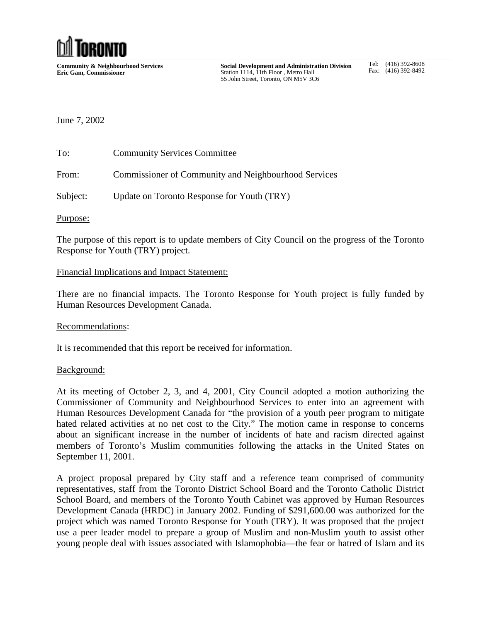

**Community & Neighbourhood Services Eric Gam, Commissioner**

**Social Development and Administration Division** Station 1114, 11th Floor, Metro Hall 55 John Street, Toronto, ON M5V 3C6

Tel: (416) 392-8608 Fax: (416) 392-8492

# June 7, 2002

To: Community Services Committee From: Commissioner of Community and Neighbourhood Services

Subject: Update on Toronto Response for Youth (TRY)

Purpose:

The purpose of this report is to update members of City Council on the progress of the Toronto Response for Youth (TRY) project.

### Financial Implications and Impact Statement:

There are no financial impacts. The Toronto Response for Youth project is fully funded by Human Resources Development Canada.

#### Recommendations:

It is recommended that this report be received for information.

#### Background:

At its meeting of October 2, 3, and 4, 2001, City Council adopted a motion authorizing the Commissioner of Community and Neighbourhood Services to enter into an agreement with Human Resources Development Canada for "the provision of a youth peer program to mitigate hated related activities at no net cost to the City." The motion came in response to concerns about an significant increase in the number of incidents of hate and racism directed against members of Toronto's Muslim communities following the attacks in the United States on September 11, 2001.

A project proposal prepared by City staff and a reference team comprised of community representatives, staff from the Toronto District School Board and the Toronto Catholic District School Board, and members of the Toronto Youth Cabinet was approved by Human Resources Development Canada (HRDC) in January 2002. Funding of \$291,600.00 was authorized for the project which was named Toronto Response for Youth (TRY). It was proposed that the project use a peer leader model to prepare a group of Muslim and non-Muslim youth to assist other young people deal with issues associated with Islamophobia—the fear or hatred of Islam and its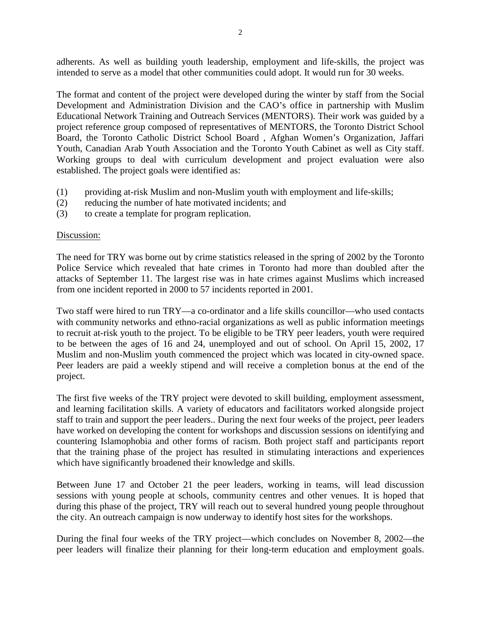adherents. As well as building youth leadership, employment and life-skills, the project was intended to serve as a model that other communities could adopt. It would run for 30 weeks.

The format and content of the project were developed during the winter by staff from the Social Development and Administration Division and the CAO's office in partnership with Muslim Educational Network Training and Outreach Services (MENTORS). Their work was guided by a project reference group composed of representatives of MENTORS, the Toronto District School Board, the Toronto Catholic District School Board , Afghan Women's Organization, Jaffari Youth, Canadian Arab Youth Association and the Toronto Youth Cabinet as well as City staff. Working groups to deal with curriculum development and project evaluation were also established. The project goals were identified as:

- (1) providing at-risk Muslim and non-Muslim youth with employment and life-skills;
- (2) reducing the number of hate motivated incidents; and
- (3) to create a template for program replication.

# Discussion:

The need for TRY was borne out by crime statistics released in the spring of 2002 by the Toronto Police Service which revealed that hate crimes in Toronto had more than doubled after the attacks of September 11. The largest rise was in hate crimes against Muslims which increased from one incident reported in 2000 to 57 incidents reported in 2001.

Two staff were hired to run TRY—a co-ordinator and a life skills councillor—who used contacts with community networks and ethno-racial organizations as well as public information meetings to recruit at-risk youth to the project. To be eligible to be TRY peer leaders, youth were required to be between the ages of 16 and 24, unemployed and out of school. On April 15, 2002, 17 Muslim and non-Muslim youth commenced the project which was located in city-owned space. Peer leaders are paid a weekly stipend and will receive a completion bonus at the end of the project.

The first five weeks of the TRY project were devoted to skill building, employment assessment, and learning facilitation skills. A variety of educators and facilitators worked alongside project staff to train and support the peer leaders.. During the next four weeks of the project, peer leaders have worked on developing the content for workshops and discussion sessions on identifying and countering Islamophobia and other forms of racism. Both project staff and participants report that the training phase of the project has resulted in stimulating interactions and experiences which have significantly broadened their knowledge and skills.

Between June 17 and October 21 the peer leaders, working in teams, will lead discussion sessions with young people at schools, community centres and other venues. It is hoped that during this phase of the project, TRY will reach out to several hundred young people throughout the city. An outreach campaign is now underway to identify host sites for the workshops.

During the final four weeks of the TRY project—which concludes on November 8, 2002—the peer leaders will finalize their planning for their long-term education and employment goals.